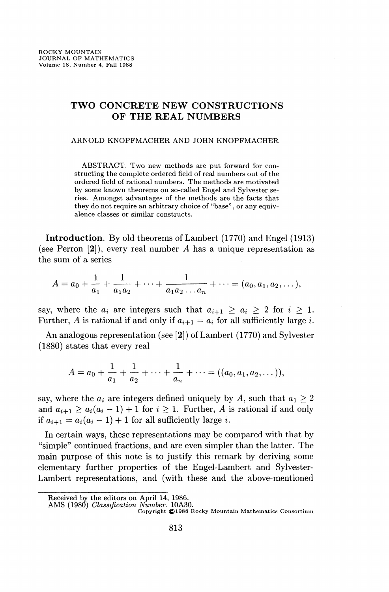# TWO CONCRETE NEW CONSTRUCTIONS OF THE REAL NUMBERS

#### ARNOLD KNOPFMACHER AND JOHN KNOPFMACHER

ABSTRACT. Two new methods are put forward for constructing the complete ordered field of real numbers out of the ordered field of rational numbers. The methods are motivated by some known theorems on so-called Engel and Sylvester series. Amongst advantages of the methods are the facts that they do not require an arbitrary choice of "base", or any equivalence classes or similar constructs.

**Introduction.** By old theorems of Lambert (1770) and Engel (1913) (see Perron [2]), every real number *A* has a unique representation as the sum of a series

$$
A = a_0 + \frac{1}{a_1} + \frac{1}{a_1 a_2} + \dots + \frac{1}{a_1 a_2 \dots a_n} + \dots = (a_0, a_1, a_2, \dots),
$$

say, where the  $a_i$  are integers such that  $a_{i+1} \geq a_i \geq 2$  for  $i \geq 1$ . Further, *A* is rational if and only if  $a_{i+1} = a_i$  for all sufficiently large *i*.

An analogous representation (see [2]) of Lambert (1770) and Sylvester (1880) states that every real

$$
A = a_0 + \frac{1}{a_1} + \frac{1}{a_2} + \cdots + \frac{1}{a_n} + \cdots = ((a_0, a_1, a_2, \dots)),
$$

say, where the  $a_i$  are integers defined uniquely by A, such that  $a_1 \geq 2$ and  $a_{i+1} \ge a_i(a_i - 1) + 1$  for  $i \ge 1$ . Further, *A* is rational if and only if  $a_{i+1} = a_i(a_i - 1) + 1$  for all sufficiently large *i*.

In certain ways, these representations may be compared with that by "simple" continued fractions, and are even simpler than the latter. The main purpose of this note is to justify this remark by deriving some elementary further properties of the Engel-Lambert and Sylvester-Lambert representations, and (with these and the above-mentioned

Received by the editors on April 14, 1986.

AMS (1980) *Classification Number.* 10A30.

Copyright (©1988 Rocky Mountain Mathematics Consortium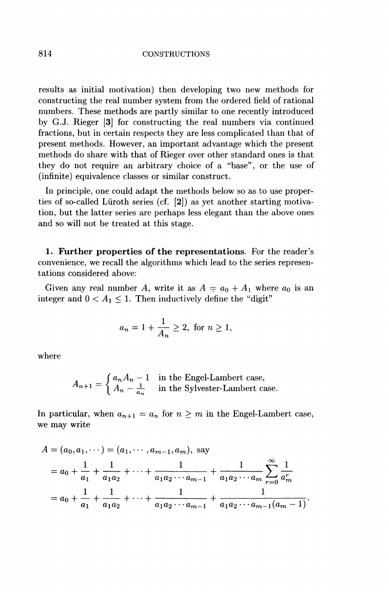#### 814 CONSTRUCTIONS

results as initial motivation) then developing two new methods for constructing the real number system from the ordered field of rational numbers. These methods are partly similar to one recently introduced by G.J. Rieger [3] for constructing the real numbers via continued fractions, but in certain respects they are less complicated than that of present methods. However, an important advantage which the present methods do share with that of Rieger over other standard ones is that they do not require an arbitrary choice of a "base", or the use of (infinite) equivalence classes or similar construct.

In principle, one could adapt the methods below so as to use properties of so-called Liiroth series (cf. [2]) as yet another starting motivation, but the latter series are perhaps less elegant than the above ones and so will not be treated at this stage.

**1. Further properties of the representations.** For the reader's convenience, we recall the algorithms which lead to the series representations considered above:

Given any real number *A*, write it as  $A = a_0 + A_1$  where  $a_0$  is an integer and  $0 < A_1 \leq 1$ . Then inductively define the "digit"

$$
a_n = 1 + \frac{1}{A_n} \ge 2
$$
, for  $n \ge 1$ ,

where

$$
A_{n+1} = \begin{cases} a_n A_n - 1 & \text{in the Engel-Lambert case,} \\ A_n - \frac{1}{a_n} & \text{in the Sylvester-Lambert case.} \end{cases}
$$

In particular, when  $a_{n+1} = a_n$  for  $n \geq m$  in the Engel-Lambert case, we may write

$$
A = (a_0, a_1, \dots) = (a_1, \dots, a_{m-1}, a_m), \text{ say}
$$
  
=  $a_0 + \frac{1}{a_1} + \frac{1}{a_1 a_2} + \dots + \frac{1}{a_1 a_2 \cdots a_{m-1}} + \frac{1}{a_1 a_2 \cdots a_m} \sum_{r=0}^{\infty} \frac{1}{a_m^r}$   
=  $a_0 + \frac{1}{a_1} + \frac{1}{a_1 a_2} + \dots + \frac{1}{a_1 a_2 \cdots a_{m-1}} + \frac{1}{a_1 a_2 \cdots a_{m-1} (a_m - 1)}.$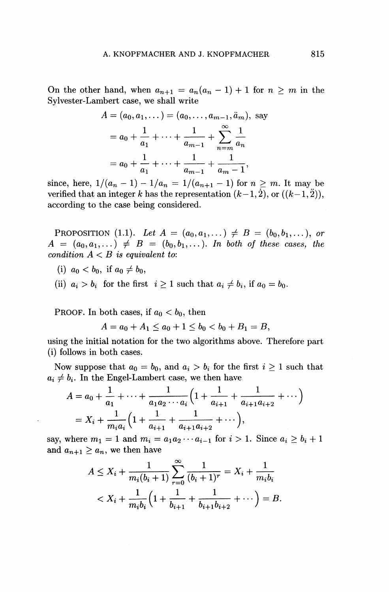On the other hand, when  $a_{n+1} = a_n(a_n - 1) + 1$  for  $n \geq m$  in the Sylvester-Lambert case, we shall write

$$
A = (a_0, a_1, \dots) = (a_0, \dots, a_{m-1}, a_m), \text{ say}
$$
  
=  $a_0 + \frac{1}{a_1} + \dots + \frac{1}{a_{m-1}} + \sum_{n=m}^{\infty} \frac{1}{a_n}$   
=  $a_0 + \frac{1}{a_1} + \dots + \frac{1}{a_{m-1}} + \frac{1}{a_m - 1},$ 

since, here,  $1/(a_n - 1) - 1/a_n = 1/(a_{n+1} - 1)$  for  $n \geq m$ . It may be verified that an integer k has the representation  $(k-1,2)$ , or  $((k-1,2))$ , according to the case being considered.

**PROPOSITION** (1.1). Let  $A = (a_0, a_1, \dots) \neq B = (b_0, b_1, \dots)$ , or  $A = (a_0, a_1, \dots) \neq B = (b_0, b_1, \dots)$ . In both of these cases, the *condition A < B is equivalent to:* 

- (i)  $a_0 < b_0$ , if  $a_0 \neq b_0$ ,
- (ii)  $a_i > b_i$  for the first  $i \geq 1$  such that  $a_i \neq b_i$ , if  $a_0 = b_0$ .

PROOF. In both cases, if  $a_0 < b_0$ , then

 $A = a_0 + A_1 \leq a_0 + 1 \leq b_0 < b_0 + B_1 = B$ ,

using the initial notation for the two algorithms above. Therefore part (i) follows in both cases.

Now suppose that  $a_0 = b_0$ , and  $a_i > b_i$  for the first  $i \ge 1$  such that  $a_i \neq b_i$ . In the Engel-Lambert case, we then have

$$
A = a_0 + \frac{1}{a_1} + \dots + \frac{1}{a_1 a_2 \cdots a_i} \left( 1 + \frac{1}{a_{i+1}} + \frac{1}{a_{i+1} a_{i+2}} + \dots \right)
$$
  
=  $X_i + \frac{1}{m_i a_i} \left( 1 + \frac{1}{a_{i+1}} + \frac{1}{a_{i+1} a_{i+2}} + \dots \right),$ 

say, where  $m_1 = 1$  and  $m_i = a_1 a_2 \cdots a_{i-1}$  for  $i > 1$ . Since  $a_i \ge b_i + 1$ and  $a_{n+1} \geq a_n$ , we then have

$$
A \le X_i + \frac{1}{m_i(b_i+1)} \sum_{r=0}^{\infty} \frac{1}{(b_i+1)^r} = X_i + \frac{1}{m_i b_i}
$$
  

$$
< X_i + \frac{1}{m_i b_i} \left(1 + \frac{1}{b_{i+1}} + \frac{1}{b_{i+1} b_{i+2}} + \cdots \right) = B.
$$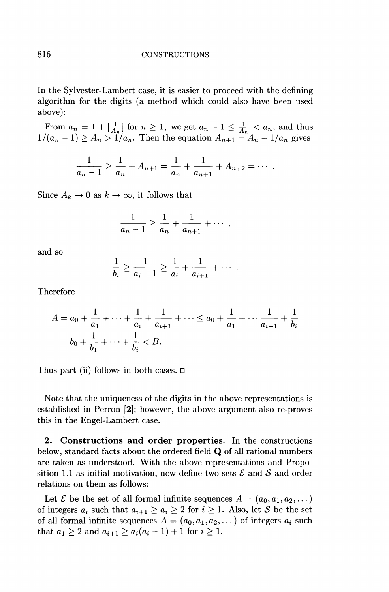In the Sylvester-Lambert case, it is easier to proceed with the defining algorithm for the digits (a method which could also have been used above):

From  $a_n = 1 + \left[\frac{1}{A_n}\right]$  for  $n \geq 1$ , we get  $a_n - 1 \leq \frac{1}{A_n} < a_n$ , and thus  $1/(a_n - 1) \ge A_n > 1/a_n$ . Then the equation  $A_{n+1} = A_n - 1/a_n$  gives

$$
\frac{1}{a_n-1} \geq \frac{1}{a_n} + A_{n+1} = \frac{1}{a_n} + \frac{1}{a_{n+1}} + A_{n+2} = \cdots
$$

Since  $A_k \to 0$  as  $k \to \infty$ , it follows that

$$
\frac{1}{a_n-1} \ge \frac{1}{a_n} + \frac{1}{a_{n+1}} + \cdots ,
$$

and so

$$
\frac{1}{b_i} \ge \frac{1}{a_i - 1} \ge \frac{1}{a_i} + \frac{1}{a_{i+1}} + \cdots
$$

Therefore

$$
A = a_0 + \frac{1}{a_1} + \dots + \frac{1}{a_i} + \frac{1}{a_{i+1}} + \dots \le a_0 + \frac{1}{a_1} + \dots + \frac{1}{a_{i-1}} + \frac{1}{b_i}
$$
  
=  $b_0 + \frac{1}{b_1} + \dots + \frac{1}{b_i} < B$ .

Thus part (ii) follows in both cases.  $\Box$ 

Note that the uniqueness of the digits in the above representations is established in Perron [2]; however, the above argument also re-proves this in the Engel-Lambert case.

**2. Constructions and order properties.** In the constructions below, standard facts about the ordered field Q of all rational numbers are taken as understood. With the above representations and Proposition 1.1 as initial motivation, now define two sets  $\mathcal E$  and  $\mathcal S$  and order relations on them as follows:

Let  $\mathcal E$  be the set of all formal infinite sequences  $A = (a_0, a_1, a_2, \dots)$ of integers  $a_i$  such that  $a_{i+1} \geq a_i \geq 2$  for  $i \geq 1$ . Also, let S be the set of all formal infinite sequences  $A = (a_0, a_1, a_2, \dots)$  of integers  $a_i$  such that  $a_1 \geq 2$  and  $a_{i+1} \geq a_i(a_i - 1) + 1$  for  $i \geq 1$ .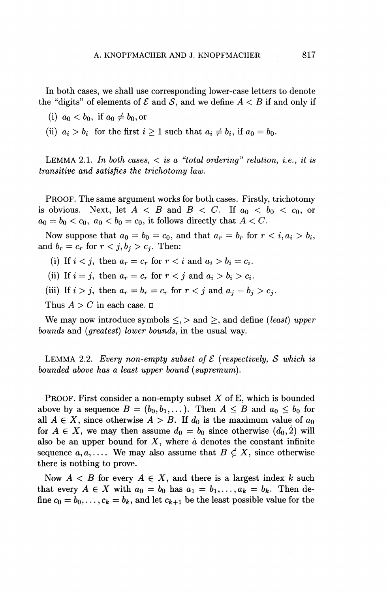In both cases, we shall use corresponding lower-case letters to denote the "digits" of elements of  $\mathcal E$  and  $\mathcal S$ , and we define  $A < B$  if and only if

- (i)  $a_0 < b_0$ , if  $a_0 \neq b_0$ , or
- (ii)  $a_i > b_i$  for the first  $i \ge 1$  such that  $a_i \ne b_i$ , if  $a_0 = b_0$ .

LEMMA 2.1. In both cases,  $\langle$  is a "total ordering" relation, i.e., it is *transitive and satisfies the trichotomy law.* 

PROOF. The same argument works for both cases. Firstly, trichotomy is obvious. Next, let  $A \leq B$  and  $B \leq C$ . If  $a_0 \leq b_0 \leq c_0$ , or  $a_0 = b_0 < c_0$ ,  $a_0 < b_0 = c_0$ , it follows directly that  $A < C$ .

Now suppose that  $a_0 = b_0 = c_0$ , and that  $a_r = b_r$  for  $r < i, a_i > b_i$ , and  $b_r = c_r$  for  $r < j$ ,  $b_j > c_j$ . Then:

(i) If  $i < j$ , then  $a_r = c_r$  for  $r < i$  and  $a_i > b_i = c_i$ .

(ii) If  $i = j$ , then  $a_r = c_r$  for  $r < j$  and  $a_i > b_i > c_i$ .

(iii) If  $i > j$ , then  $a_r = b_r = c_r$  for  $r < j$  and  $a_j = b_j > c_j$ .

Thus  $A > C$  in each case.  $\square$ 

We may now introduce symbols  $\leq, >$  and  $\geq$ , and define *(least)* upper *bounds* and *(greatest) lower bounds,* in the usual way.

LEMMA 2.2. *Every non-empty subset of*  $\mathcal E$  *(respectively, S which is bounded above has a least upper bound (supremum).* 

PROOF. First consider a non-empty subset *X* of E, which is bounded above by a sequence  $B = (b_0, b_1, \ldots)$ . Then  $A \leq B$  and  $a_0 \leq b_0$  for all  $A \in X$ , since otherwise  $A > B$ . If  $d_0$  is the maximum value of  $a_0$ for  $A \in X$ , we may then assume  $d_0 = b_0$  since otherwise  $(d_0, 2)$  will also be an upper bound for *X,* where *à* denotes the constant infinite sequence  $a, a, \ldots$  We may also assume that  $B \notin X$ , since otherwise there is nothing to prove.

Now  $A \leq B$  for every  $A \in X$ , and there is a largest index k such that every  $A \in X$  with  $a_0 = b_0$  has  $a_1 = b_1, \ldots, a_k = b_k$ . Then define  $c_0 = b_0, \ldots, c_k = b_k$ , and let  $c_{k+1}$  be the least possible value for the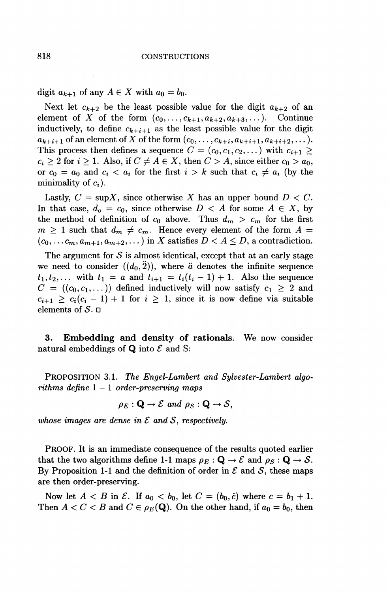digit  $a_{k+1}$  of any  $A \in X$  with  $a_0 = b_0$ .

Next let  $c_{k+2}$  be the least possible value for the digit  $a_{k+2}$  of an element of X of the form  $(c_0,\ldots,c_{k+1}, a_{k+2}, a_{k+3},\ldots)$ . Continue inductively, to define  $c_{k+i+1}$  as the least possible value for the digit  $a_{k+i+1}$  of an element of *X* of the form  $(c_0, ..., c_{k+i}, a_{k+i+1}, a_{k+i+2}, \dots)$ . This process then defines a sequence  $C = (c_0, c_1, c_2, \dots)$  with  $c_{i+1} \geq$  $c_i \geq 2$  for  $i \geq 1$ . Also, if  $C \neq A \in X$ , then  $C > A$ , since either  $c_0 > a_0$ , or  $c_0 = a_0$  and  $c_i < a_i$  for the first  $i > k$  such that  $c_i \neq a_i$  (by the minimality of  $c_i$ ).

Lastly,  $C = \sup X$ , since otherwise X has an upper bound  $D < C$ . In that case,  $d_0 = c_0$ , since otherwise  $D < A$  for some  $A \in X$ , by the method of definition of  $c_0$  above. Thus  $d_m > c_m$  for the first  $m \geq 1$  such that  $d_m \neq c_m$ . Hence every element of the form  $A =$  $(c_0, \ldots, c_m, a_{m+1}, a_{m+2}, \ldots)$  in X satisfies  $D < A \leq D$ , a contradiction.

The argument for  $S$  is almost identical, except that at an early stage we need to consider  $((d_0, \tilde{2}))$ , where  $\tilde{a}$  denotes the infinite sequence  $t_1, t_2,...$  with  $t_1 = a$  and  $t_{i+1} = t_i(t_i - 1) + 1$ . Also the sequence  $C = ((c_0, c_1, \dots))$  defined inductively will now satisfy  $c_1 \geq 2$  and  $c_{i+1} \geq c_i(c_i - 1) + 1$  for  $i \geq 1$ , since it is now define via suitable elements of *S. n* 

**3 . Embedding and density of rationals.** We now consider natural embeddings of  $Q$  into  $\mathcal E$  and S:

PROPOSITION 3.1. *The Engel-Lambert and Sylvester-Lambert algorithms define* 1 — 1 *order-preserving maps* 

$$
\rho_E: \mathbf{Q} \to \mathcal{E} \text{ and } \rho_S: \mathbf{Q} \to \mathcal{S},
$$

*whose images are dense in*  $\mathcal E$  *and*  $\mathcal S$ *, respectively.* 

PROOF. It is an immediate consequence of the results quoted earlier that the two algorithms define 1-1 maps  $\rho_E : \mathbf{Q} \to \mathcal{E}$  and  $\rho_S : \mathbf{Q} \to \mathcal{S}$ . By Proposition 1-1 and the definition of order in  $\mathcal E$  and  $\mathcal S$ , these maps are then order-preserving.

Now let  $A < B$  in  $\mathcal{E}$ . If  $a_0 < b_0$ , let  $C = (b_0, c)$  where  $c = b_1 + 1$ . Then  $A < C < B$  and  $C \in \rho_E(\mathbf{Q})$ . On the other hand, if  $a_0 = b_0$ , then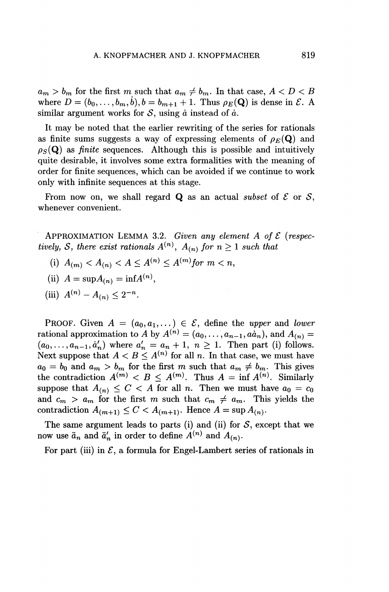$a_m > b_m$  for the first m such that  $a_m \neq b_m$ . In that case,  $A < D < B$ where  $D = (b_0, \ldots, b_m, \dot{b}), b = b_{m+1} + 1$ . Thus  $\rho_E(\mathbf{Q})$  is dense in  $\mathcal{E}$ . A similar argument works for  $S$ , using  $\dot{a}$  instead of  $\dot{a}$ .

It may be noted that the earlier rewriting of the series for rationals as finite sums suggests a way of expressing elements of  $\rho_E(\mathbf{Q})$  and  $\rho_S(Q)$  as *finite* sequences. Although this is possible and intuitively quite desirable, it involves some extra formalities with the meaning of order for finite sequences, which can be avoided if we continue to work only with infinite sequences at this stage.

From now on, we shall regard  $Q$  as an actual *subset* of  $E$  or  $S$ , whenever convenient.

APPROXIMATION LEMMA 3.2. *Given any element A of £ (respectively, S, there exist rationals*  $A^{(n)}$ ,  $A_{(n)}$  for  $n \geq 1$  *such that* 

(i)  $A_{(m)} < A_{(n)} < A \leq A^{(n)} \leq A^{(m)}$  for  $m < n$ ,

(ii) 
$$
A = \sup A_{(n)} = \inf A^{(n)},
$$

(iii) 
$$
A^{(n)} - A_{(n)} \leq 2^{-n}
$$
.

PROOF. Given  $A = (a_0, a_1, \dots) \in \mathcal{E}$ , define the *upper* and *lower* rational approximation to A by  $A^{(n)} = (a_0, \ldots, a_{n-1}, a a_n)$ , and  $A_{(n)} =$  $(a_0, \ldots, a_{n-1}, a'_n)$  where  $a'_n = a_n + 1, n \ge 1$ . Then part (i) follows. Next suppose that  $A < B \leq A^{(n)}$  for all n. In that case, we must have  $a_0 = b_0$  and  $a_m > b_m$  for the first m such that  $a_m \neq b_m$ . This gives the contradiction  $A^{(m)} < B \le A^{(m)}$ . Thus  $A = \inf A^{(n)}$ . Similarly suppose that  $A_{(n)} \leq C < A$  for all *n*. Then we must have  $a_0 = c_0$ and  $c_m > a_m$  for the first m such that  $c_m \neq a_m$ . This yields the contradiction  $A_{(m+1)} \leq C < A_{(m+1)}$ . Hence  $A = \sup A_{(n)}$ .

The same argument leads to parts (i) and (ii) for  $S$ , except that we now use  $\ddot{a}_n$  and  $\ddot{a}'_n$  in order to define  $A^{(n)}$  and  $A^{(n)}$ .

For part (iii) in  $\mathcal{E}$ , a formula for Engel-Lambert series of rationals in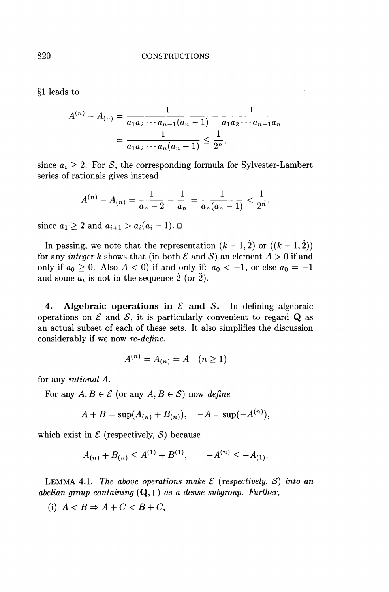§1 leads to

$$
A^{(n)} - A_{(n)} = \frac{1}{a_1 a_2 \cdots a_{n-1} (a_n - 1)} - \frac{1}{a_1 a_2 \cdots a_{n-1} a_n} = \frac{1}{a_1 a_2 \cdots a_n (a_n - 1)} \le \frac{1}{2^n},
$$

since  $a_i \geq 2$ . For S, the corresponding formula for Sylvester-Lambert series of rationals gives instead

$$
A^{(n)}-A_{(n)}=\frac{1}{a_n-2}-\frac{1}{a_n}=\frac{1}{a_n(a_n-1)}<\frac{1}{2^n},
$$

since  $a_1 \geq 2$  and  $a_{i+1} > a_i(a_i - 1)$ .  $\Box$ 

In passing, we note that the representation  $(k-1,2)$  or  $((k-1,2))$ for any *integer k* shows that (in both  $\mathcal E$  and  $\mathcal S$ ) an element  $A > 0$  if and only if  $a_0 \geq 0$ . Also  $A < 0$  if and only if:  $a_0 < -1$ , or else  $a_0 = -1$ and some  $a_i$  is not in the sequence 2 (or 2).

**4. Algebraic operations in** *£* **and** *S.* In defining algebraic operations on  $\mathcal E$  and  $\mathcal S$ , it is particularly convenient to regard  $\mathbf Q$  as an actual subset of each of these sets. It also simplifies the discussion considerably if we now *re-define.* 

$$
A^{(n)}=A_{(n)}=A \quad (n\geq 1)
$$

for any *rational A.* 

For any  $A, B \in \mathcal{E}$  (or any  $A, B \in \mathcal{S}$ ) now *define* 

$$
A + B = \sup(A_{(n)} + B_{(n)}), \quad -A = \sup(-A^{(n)}),
$$

which exist in  $\mathcal E$  (respectively,  $\mathcal S$ ) because

$$
A_{(n)} + B_{(n)} \le A^{(1)} + B^{(1)}, \qquad -A^{(n)} \le -A_{(1)}.
$$

LEMMA 4.1. The above operations make  $\mathcal E$  (respectively,  $\mathcal S$ ) into an *abelian group containing* (Q,+) *as a dense subgroup. Further,* 

(i)  $A < B \Rightarrow A + C < B + C$ ,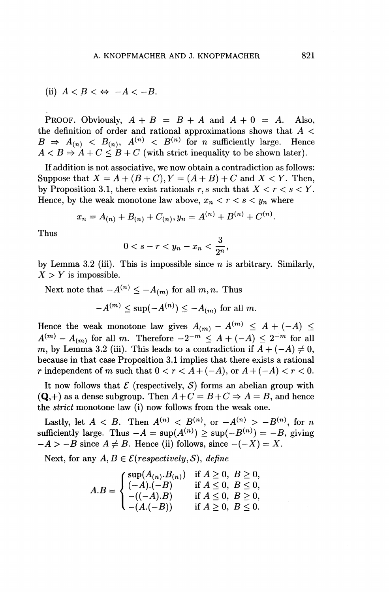(ii) 
$$
A < B < \Leftrightarrow -A < -B
$$
.

PROOF. Obviously,  $A + B = B + A$  and  $A + 0 = A$ . Also, the definition of order and rational approximations shows that *A <*   $B \Rightarrow A_{(n)} \leq B_{(n)}$ ,  $A^{(n)} \leq B^{(n)}$  for *n* sufficiently large. Hence  $A < B \Rightarrow A + C \leq B + C$  (with strict inequality to be shown later).

If addition is not associative, we now obtain a contradiction as follows: Suppose that  $X = A + (B + C)$ ,  $Y = (A + B) + C$  and  $X \leq Y$ . Then, by Proposition 3.1, there exist rationals  $r, s$  such that  $X < r < s < Y$ . Hence, by the weak monotone law above,  $x_n < r < s < y_n$  where

$$
x_n = A_{(n)} + B_{(n)} + C_{(n)}, y_n = A^{(n)} + B^{(n)} + C^{(n)}.
$$

Thus

$$
0 < s - r < y_n - x_n < \frac{3}{2^n},
$$

by Lemma 3.2 (iii). This is impossible since *n* is arbitrary. Similarly,  $X > Y$  is impossible.

Next note that  $-A^{(n)} \leq -A_{(m)}$  for all m,n. Thus

$$
-A^{(m)} \le \sup(-A^{(n)}) \le -A_{(m)}
$$
 for all m.

Hence the weak monotone law gives  $A_{(m)} - A^{(m)} \leq A + (-A) \leq$  $A^{(m)} - A_{(m)}$  for all *m*. Therefore  $-2^{-m} \leq A + (-A) \leq 2^{-m}$  for all *m*, by Lemma 3.2 (iii). This leads to a contradiction if  $A + (-A) \neq 0$ , because in that case Proposition 3.1 implies that there exists a rational *r* independent of *m* such that  $0 < r < A + (-A)$ , or  $A + (-A) < r < 0$ .

It now follows that  $\mathcal E$  (respectively,  $\mathcal S$ ) forms an abelian group with  $(Q,+)$  as a dense subgroup. Then  $A+C=B+C \Rightarrow A=B$ , and hence the *strict* monotone law (i) now follows from the weak one.

Lastly, let  $A < B$ . Then  $A^{(n)} < B^{(n)}$ , or  $-A^{(n)} > -B^{(n)}$ , for *n* sufficiently large. Thus  $-A = \sup(A^{(n)}) \geq \sup(-B^{(n)}) = -B$ , giving  $-A > -B$  since  $A \neq B$ . Hence (ii) follows, since  $-(-X) = X$ .

Next, for any  $A, B \in \mathcal{E}(respectively, \mathcal{S})$ , *define* 

$$
A.B = \begin{cases} \sup(A_{(n)}.B_{(n)}) & \text{if } A \ge 0, \ B \ge 0, \\ (-A).(-B) & \text{if } A \le 0, \ B \le 0, \\ -((-A).B) & \text{if } A \le 0, \ B \ge 0, \\ -(A.(-B)) & \text{if } A \ge 0, \ B \le 0. \end{cases}
$$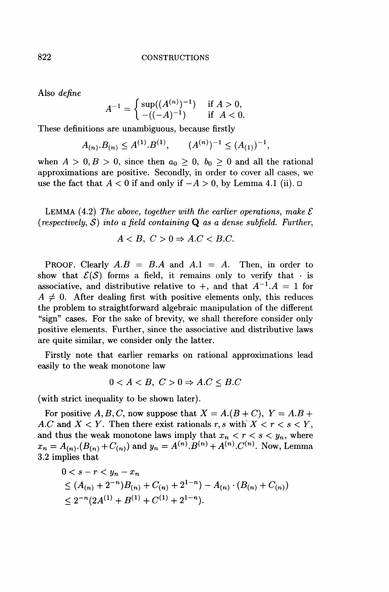Also *define* 

$$
A^{-1} = \begin{cases} \sup((A^{(n)})^{-1}) & \text{if } A > 0, \\ -((-A)^{-1}) & \text{if } A < 0. \end{cases}
$$

These definitions are unambiguous, because firstly

$$
A_{(n)}B_{(n)} \le A^{(1)}B^{(1)}, \qquad (A^{(n)})^{-1} \le (A_{(1)})^{-1},
$$

when  $A > 0, B > 0$ , since then  $a_0 \geq 0, b_0 \geq 0$  and all the rational approximations are positive. Secondly, in order to cover all cases, we use the fact that  $A < 0$  if and only if  $-A > 0$ , by Lemma 4.1 (ii).  $\Box$ 

LEMMA (4.2) *The above, together with the earlier operations, make £*   $(respectively, S)$  into a field containing **Q** as a dense subfield. Further,

$$
A < B, \ C > 0 \Rightarrow A.C < B.C.
$$

PROOF. Clearly *A.B* = *B.A* and *A.l = A.* Then, in order to show that  $\mathcal{E}(\mathcal{S})$  forms a field, it remains only to verify that  $\cdot$  is associative, and distributive relative to  $+$ , and that  $A^{-1}A = 1$  for  $A \neq 0$ . After dealing first with positive elements only, this reduces the problem to straightforward algebraic manipulation of the different "sign" cases. For the sake of brevity, we shall therefore consider only positive elements. Further, since the associative and distributive laws are quite similar, we consider only the latter.

Firstly note that earlier remarks on rational approximations lead easily to the weak monotone law

$$
0 < A < B, \ C > 0 \Rightarrow A.C \leq B.C
$$

(with strict inequality to be shown later).

For positive A, B, C, now suppose that  $X = A.(B + C), Y = A.B + C$ *A.C* and  $X < Y$ . Then there exist rationals r, s with  $X < r < s < Y$ , and thus the weak monotone laws imply that  $x_n < r < s < y_n$ , where  $x_n = A_{(n)} (B_{(n)} + C_{(n)})$  and  $y_n = A^{(n)} B^{(n)} + A^{(n)} C^{(n)}$ . Now, Lemma 3.2 implies that

$$
0 < s - r < y_n - x_n
$$
\n
$$
\leq (A_{(n)} + 2^{-n})B_{(n)} + C_{(n)} + 2^{1-n}) - A_{(n)} \cdot (B_{(n)} + C_{(n)})
$$
\n
$$
\leq 2^{-n} (2A^{(1)} + B^{(1)} + C^{(1)} + 2^{1-n}).
$$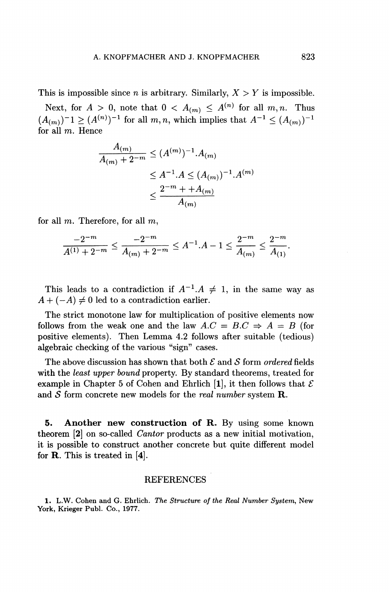This is impossible since *n* is arbitrary. Similarly,  $X > Y$  is impossible.

Next, for  $A > 0$ , note that  $0 < A_{(m)} \leq A^{(n)}$  for all  $m, n$ . Thus  $(A_{(m)})^{-1} \geq (A^{(n)})^{-1}$  for all  $m, n$ , which implies that  $A^{-1} \leq (A_{(m)})^{-1}$ for all  $m$ . Hence

$$
\frac{A_{(m)}}{A_{(m)} + 2^{-m}} \le (A^{(m)})^{-1} A_{(m)}
$$
  
\n
$$
\le A^{-1} A \le (A_{(m)})^{-1} A^{(m)}
$$
  
\n
$$
\le \frac{2^{-m} + A_{(m)}}{A_{(m)}}
$$

for all  $m$ . Therefore, for all  $m$ ,

$$
\frac{-2^{-m}}{A^{(1)}+2^{-m}}\leq \frac{-2^{-m}}{A_{(m)}+2^{-m}}\leq A^{-1}.A-1\leq \frac{2^{-m}}{A_{(m)}}\leq \frac{2^{-m}}{A_{(1)}}.
$$

This leads to a contradiction if  $A^{-1}.A \neq 1$ , in the same way as  $A + (-A) \neq 0$  led to a contradiction earlier.

The strict monotone law for multiplication of positive elements now follows from the weak one and the law  $A.C = B.C \Rightarrow A = B$  (for positive elements). Then Lemma 4.2 follows after suitable (tedious) algebraic checking of the various "sign" cases.

The above discussion has shown that both *£* and *S* form *ordered* fields with the *least upper bound* property. By standard theorems, treated for example in Chapter 5 of Cohen and Ehrlich [1], it then follows that  $\mathcal E$ and *S* form concrete new models for the *real number* system **R.** 

**5. Another new construction of R.** By using some known theorem [2] on so-called *Cantor* products as a new initial motivation, it is possible to construct another concrete but quite different model for R. This is treated in [4].

### **REFERENCES**

**1. L.W. Cohen and G. Ehrlich.** *The Structure of the Real Number System,* **New York, Krieger Pubi. Co., 1977.**